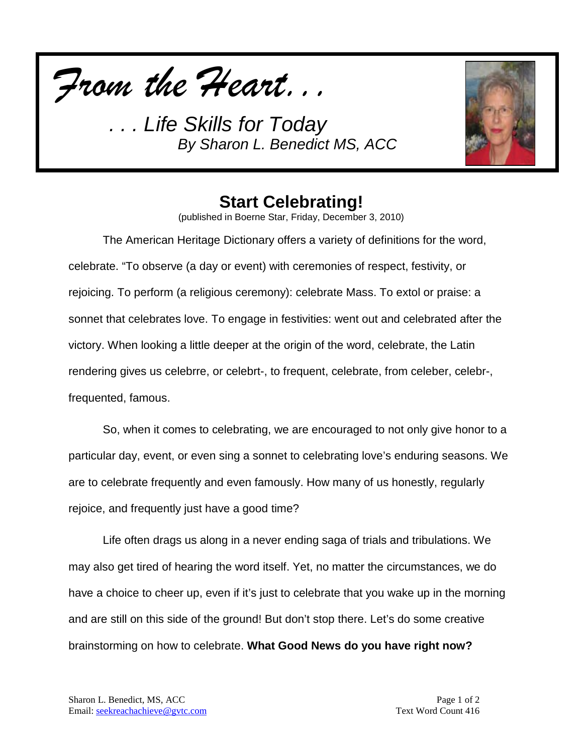*From the Heart...*



## **Start Celebrating!**

(published in Boerne Star, Friday, December 3, 2010)

The American Heritage Dictionary offers a variety of definitions for the word, celebrate. "To observe (a day or event) with ceremonies of respect, festivity, or rejoicing. To perform (a religious ceremony): celebrate Mass. To extol or praise: a sonnet that celebrates love. To engage in festivities: went out and celebrated after the victory. When looking a little deeper at the origin of the word, celebrate, the Latin rendering gives us celebrre, or celebrt-, to frequent, celebrate, from celeber, celebr-, frequented, famous.

So, when it comes to celebrating, we are encouraged to not only give honor to a particular day, event, or even sing a sonnet to celebrating love's enduring seasons. We are to celebrate frequently and even famously. How many of us honestly, regularly rejoice, and frequently just have a good time?

Life often drags us along in a never ending saga of trials and tribulations. We may also get tired of hearing the word itself. Yet, no matter the circumstances, we do have a choice to cheer up, even if it's just to celebrate that you wake up in the morning and are still on this side of the ground! But don't stop there. Let's do some creative brainstorming on how to celebrate. **What Good News do you have right now?**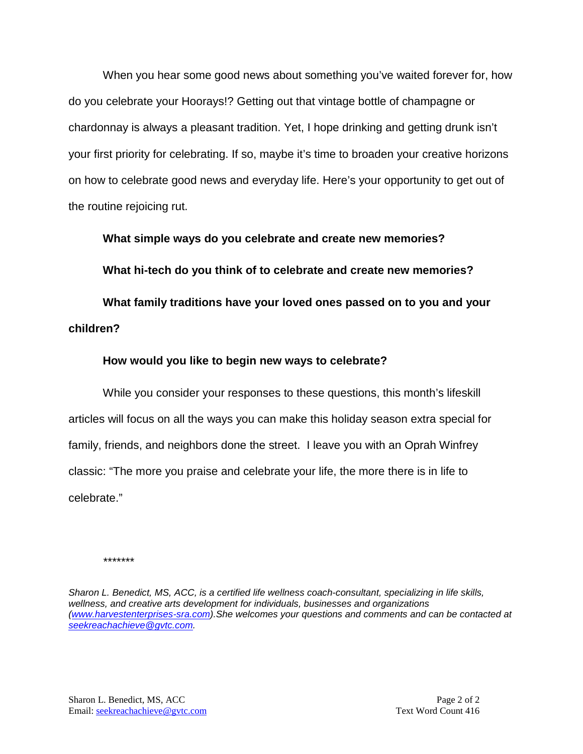When you hear some good news about something you've waited forever for, how do you celebrate your Hoorays!? Getting out that vintage bottle of champagne or chardonnay is always a pleasant tradition. Yet, I hope drinking and getting drunk isn't your first priority for celebrating. If so, maybe it's time to broaden your creative horizons on how to celebrate good news and everyday life. Here's your opportunity to get out of the routine rejoicing rut.

**What simple ways do you celebrate and create new memories?**

**What hi-tech do you think of to celebrate and create new memories?**

**What family traditions have your loved ones passed on to you and your children?**

### **How would you like to begin new ways to celebrate?**

While you consider your responses to these questions, this month's lifeskill articles will focus on all the ways you can make this holiday season extra special for family, friends, and neighbors done the street. I leave you with an Oprah Winfrey classic: "The more you praise and celebrate your life, the more there is in life to celebrate."

*\*\*\*\*\*\*\**

*Sharon L. Benedict, MS, ACC, is a certified life wellness coach-consultant, specializing in life skills, wellness, and creative arts development for individuals, businesses and organizations [\(www.harvestenterprises-sra.com\)](http://www.harvestenterprises-sra.com/).She welcomes your questions and comments and can be contacted at [seekreachachieve@gvtc.com.](mailto:seekreachachieve@gvtc.com)*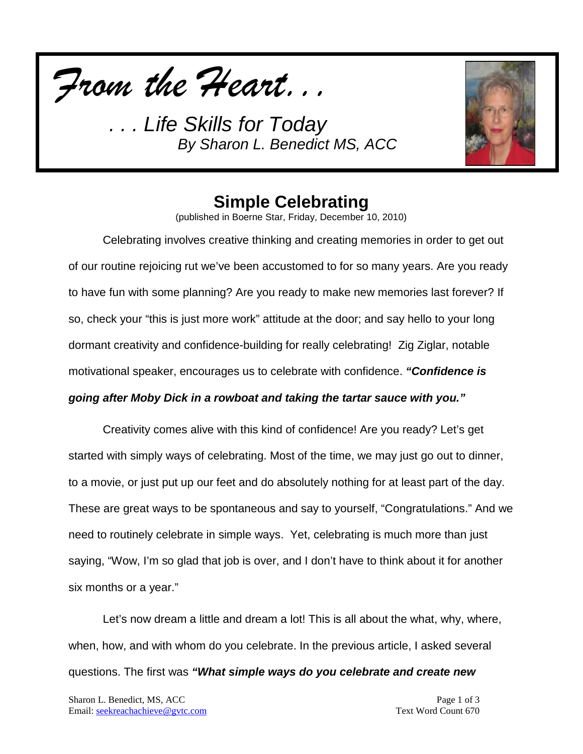*From the Heart...*



## **Simple Celebrating**

(published in Boerne Star, Friday, December 10, 2010)

Celebrating involves creative thinking and creating memories in order to get out of our routine rejoicing rut we've been accustomed to for so many years. Are you ready to have fun with some planning? Are you ready to make new memories last forever? If so, check your "this is just more work" attitude at the door; and say hello to your long dormant creativity and confidence-building for really celebrating! Zig Ziglar, notable motivational speaker, encourages us to celebrate with confidence. *"Confidence is going after Moby Dick in a rowboat and taking the tartar sauce with you."* 

Creativity comes alive with this kind of confidence! Are you ready? Let's get started with simply ways of celebrating. Most of the time, we may just go out to dinner, to a movie, or just put up our feet and do absolutely nothing for at least part of the day. These are great ways to be spontaneous and say to yourself, "Congratulations." And we need to routinely celebrate in simple ways. Yet, celebrating is much more than just saying, "Wow, I'm so glad that job is over, and I don't have to think about it for another six months or a year."

Let's now dream a little and dream a lot! This is all about the what, why, where, when, how, and with whom do you celebrate. In the previous article, I asked several questions. The first was *"What simple ways do you celebrate and create new*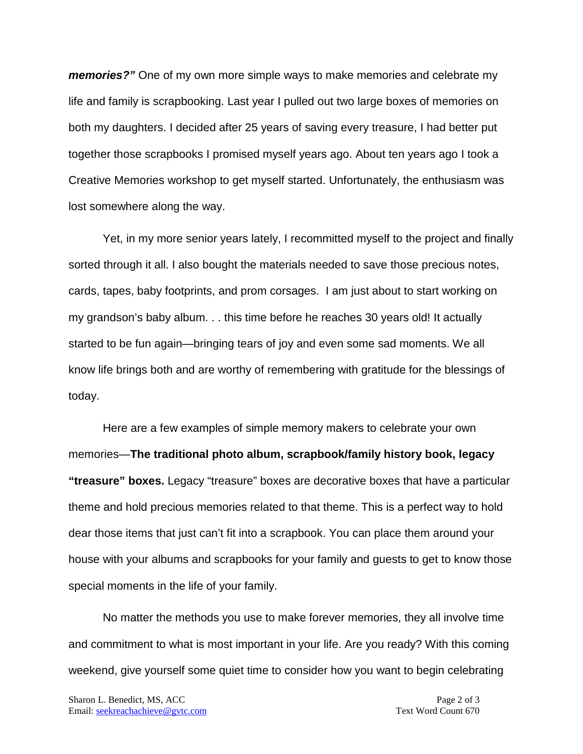*memories?"* One of my own more simple ways to make memories and celebrate my life and family is scrapbooking. Last year I pulled out two large boxes of memories on both my daughters. I decided after 25 years of saving every treasure, I had better put together those scrapbooks I promised myself years ago. About ten years ago I took a Creative Memories workshop to get myself started. Unfortunately, the enthusiasm was lost somewhere along the way.

Yet, in my more senior years lately, I recommitted myself to the project and finally sorted through it all. I also bought the materials needed to save those precious notes, cards, tapes, baby footprints, and prom corsages. I am just about to start working on my grandson's baby album. . . this time before he reaches 30 years old! It actually started to be fun again—bringing tears of joy and even some sad moments. We all know life brings both and are worthy of remembering with gratitude for the blessings of today.

Here are a few examples of simple memory makers to celebrate your own memories—**The traditional photo album, scrapbook/family history book, legacy "treasure" boxes.** Legacy "treasure" boxes are decorative boxes that have a particular theme and hold precious memories related to that theme. This is a perfect way to hold dear those items that just can't fit into a scrapbook. You can place them around your house with your albums and scrapbooks for your family and guests to get to know those special moments in the life of your family.

No matter the methods you use to make forever memories, they all involve time and commitment to what is most important in your life. Are you ready? With this coming weekend, give yourself some quiet time to consider how you want to begin celebrating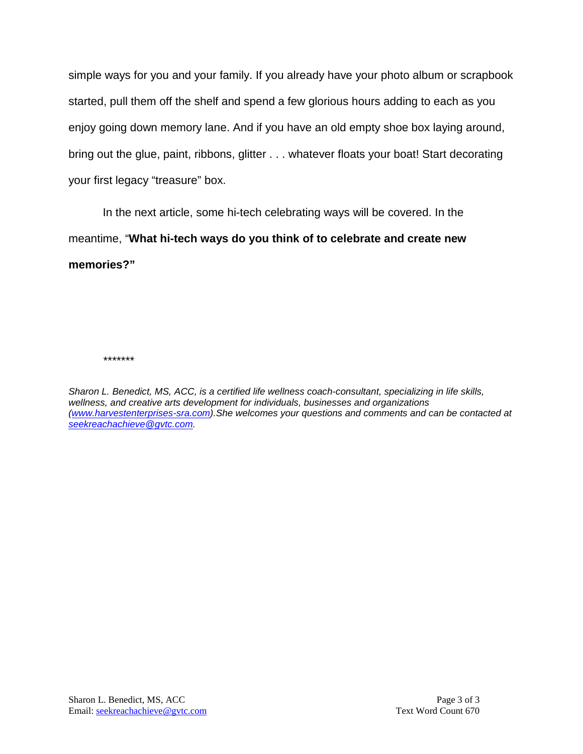simple ways for you and your family. If you already have your photo album or scrapbook started, pull them off the shelf and spend a few glorious hours adding to each as you enjoy going down memory lane. And if you have an old empty shoe box laying around, bring out the glue, paint, ribbons, glitter . . . whatever floats your boat! Start decorating your first legacy "treasure" box.

In the next article, some hi-tech celebrating ways will be covered. In the meantime, "**What hi-tech ways do you think of to celebrate and create new memories?"**

*\*\*\*\*\*\*\**

*Sharon L. Benedict, MS, ACC, is a certified life wellness coach-consultant, specializing in life skills, wellness, and creative arts development for individuals, businesses and organizations [\(www.harvestenterprises-sra.com\)](http://www.harvestenterprises-sra.com/).She welcomes your questions and comments and can be contacted at [seekreachachieve@gvtc.com.](mailto:seekreachachieve@gvtc.com)*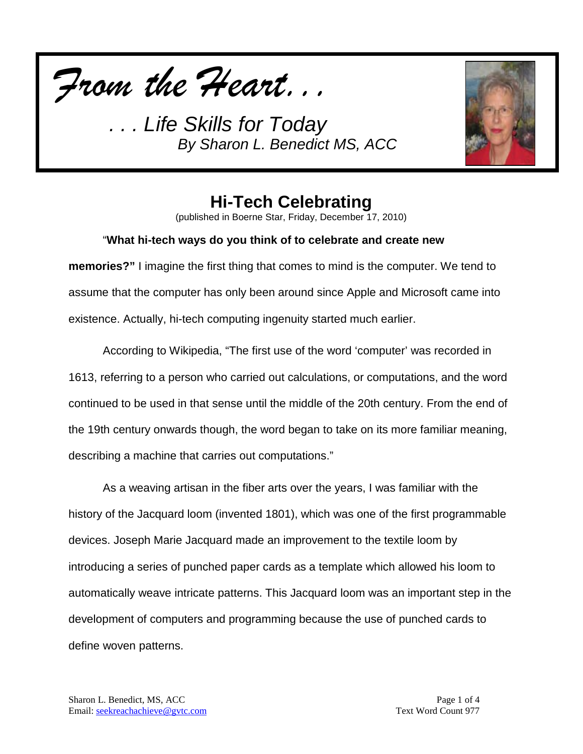*From the Heart...*



## **Hi-Tech Celebrating**

(published in Boerne Star, Friday, December 17, 2010)

### "**What hi-tech ways do you think of to celebrate and create new**

**memories?"** I imagine the first thing that comes to mind is the computer. We tend to assume that the computer has only been around since Apple and Microsoft came into existence. Actually, hi-tech computing ingenuity started much earlier.

According to Wikipedia, "The first use of the word 'computer' was recorded in 1613, referring to a person who carried out calculations, or computations, and the word continued to be used in that sense until the middle of the 20th century. From the end of the 19th century onwards though, the word began to take on its more familiar meaning, describing a machine that carries out computations."

As a weaving artisan in the fiber arts over the years, I was familiar with the history of the Jacquard loom (invented 1801), which was one of the first programmable devices. Joseph Marie Jacquard made an improvement to the textile loom by introducing a series of punched paper cards as a template which allowed his loom to automatically weave intricate patterns. This Jacquard loom was an important step in the development of computers and programming because the use of punched cards to define woven patterns.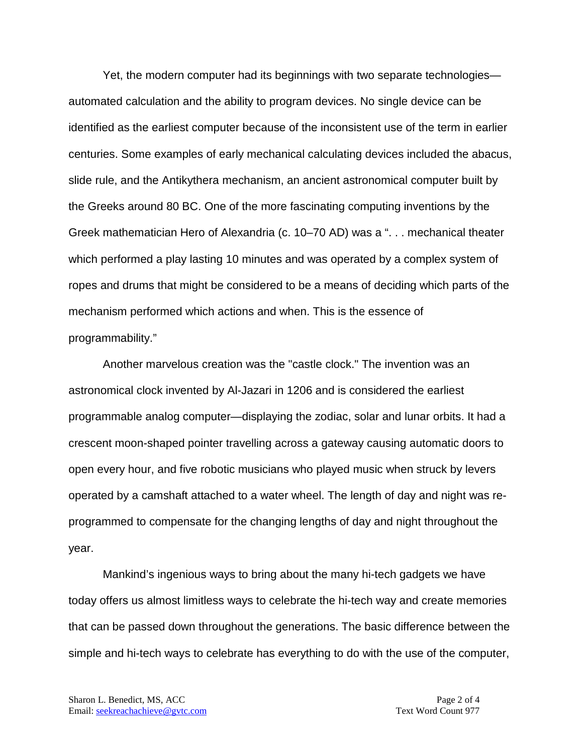Yet, the modern computer had its beginnings with two separate technologies automated calculation and the ability to program devices. No single device can be identified as the earliest computer because of the inconsistent use of the term in earlier centuries. Some examples of early mechanical calculating devices included the abacus, slide rule, and the Antikythera mechanism, an ancient astronomical computer built by the Greeks around 80 BC. One of the more fascinating computing inventions by the Greek mathematician Hero of Alexandria (c. 10–70 AD) was a ". . . mechanical theater which performed a play lasting 10 minutes and was operated by a complex system of ropes and drums that might be considered to be a means of deciding which parts of the mechanism performed which actions and when. This is the essence of programmability."

Another marvelous creation was the "castle clock." The invention was an astronomical clock invented by Al-Jazari in 1206 and is considered the earliest programmable analog computer—displaying the zodiac, solar and lunar orbits. It had a crescent moon-shaped pointer travelling across a gateway causing automatic doors to open every hour, and five robotic musicians who played music when struck by levers operated by a camshaft attached to a water wheel. The length of day and night was reprogrammed to compensate for the changing lengths of day and night throughout the year.

Mankind's ingenious ways to bring about the many hi-tech gadgets we have today offers us almost limitless ways to celebrate the hi-tech way and create memories that can be passed down throughout the generations. The basic difference between the simple and hi-tech ways to celebrate has everything to do with the use of the computer,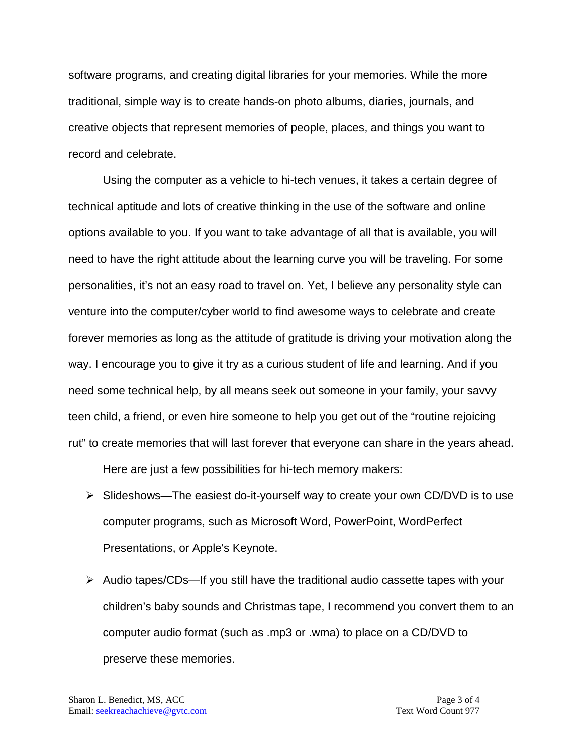software programs, and creating digital libraries for your memories. While the more traditional, simple way is to create hands-on photo albums, diaries, journals, and creative objects that represent memories of people, places, and things you want to record and celebrate.

Using the computer as a vehicle to hi-tech venues, it takes a certain degree of technical aptitude and lots of creative thinking in the use of the software and online options available to you. If you want to take advantage of all that is available, you will need to have the right attitude about the learning curve you will be traveling. For some personalities, it's not an easy road to travel on. Yet, I believe any personality style can venture into the computer/cyber world to find awesome ways to celebrate and create forever memories as long as the attitude of gratitude is driving your motivation along the way. I encourage you to give it try as a curious student of life and learning. And if you need some technical help, by all means seek out someone in your family, your savvy teen child, a friend, or even hire someone to help you get out of the "routine rejoicing rut" to create memories that will last forever that everyone can share in the years ahead.

Here are just a few possibilities for hi-tech memory makers:

- Slideshows—The easiest do-it-yourself way to create your own CD/DVD is to use computer programs, such as Microsoft Word, PowerPoint, WordPerfect Presentations, or Apple's Keynote.
- $\triangleright$  Audio tapes/CDs—If you still have the traditional audio cassette tapes with your children's baby sounds and Christmas tape, I recommend you convert them to an computer audio format (such as .mp3 or .wma) to place on a CD/DVD to preserve these memories.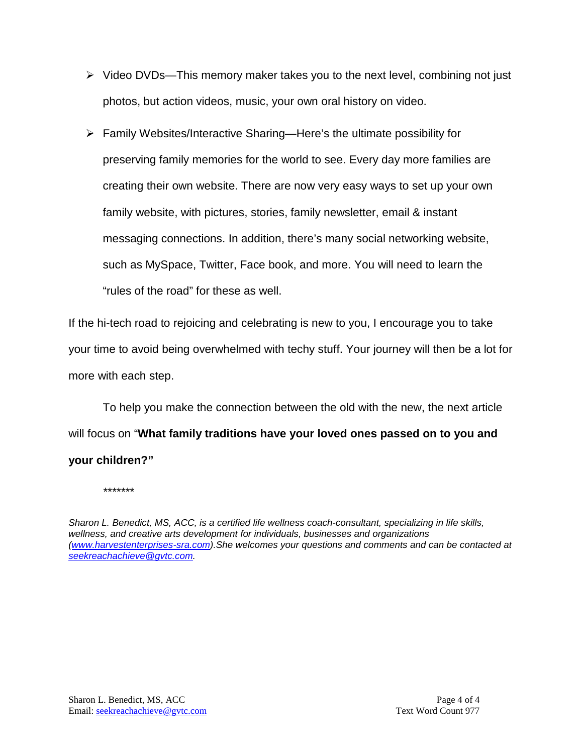- $\triangleright$  Video DVDs—This memory maker takes you to the next level, combining not just photos, but action videos, music, your own oral history on video.
- $\triangleright$  Family Websites/Interactive Sharing—Here's the ultimate possibility for preserving family memories for the world to see. Every day more families are creating their own website. There are now very easy ways to set up your own family website, with pictures, stories, family newsletter, email & instant messaging connections. In addition, there's many social networking website, such as MySpace, Twitter, Face book, and more. You will need to learn the "rules of the road" for these as well.

If the hi-tech road to rejoicing and celebrating is new to you, I encourage you to take your time to avoid being overwhelmed with techy stuff. Your journey will then be a lot for more with each step.

To help you make the connection between the old with the new, the next article will focus on "**What family traditions have your loved ones passed on to you and your children?"**

*\*\*\*\*\*\*\**

*Sharon L. Benedict, MS, ACC, is a certified life wellness coach-consultant, specializing in life skills, wellness, and creative arts development for individuals, businesses and organizations [\(www.harvestenterprises-sra.com\)](http://www.harvestenterprises-sra.com/).She welcomes your questions and comments and can be contacted at [seekreachachieve@gvtc.com.](mailto:seekreachachieve@gvtc.com)*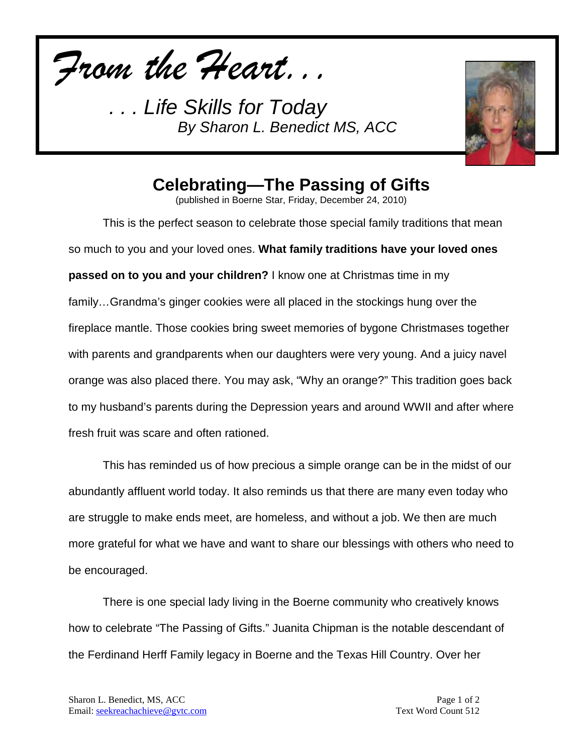*From the Heart...*



# **Celebrating—The Passing of Gifts**

(published in Boerne Star, Friday, December 24, 2010)

This is the perfect season to celebrate those special family traditions that mean so much to you and your loved ones. **What family traditions have your loved ones passed on to you and your children?** I know one at Christmas time in my family…Grandma's ginger cookies were all placed in the stockings hung over the fireplace mantle. Those cookies bring sweet memories of bygone Christmases together with parents and grandparents when our daughters were very young. And a juicy navel orange was also placed there. You may ask, "Why an orange?" This tradition goes back to my husband's parents during the Depression years and around WWII and after where fresh fruit was scare and often rationed.

This has reminded us of how precious a simple orange can be in the midst of our abundantly affluent world today. It also reminds us that there are many even today who are struggle to make ends meet, are homeless, and without a job. We then are much more grateful for what we have and want to share our blessings with others who need to be encouraged.

There is one special lady living in the Boerne community who creatively knows how to celebrate "The Passing of Gifts." Juanita Chipman is the notable descendant of the Ferdinand Herff Family legacy in Boerne and the Texas Hill Country. Over her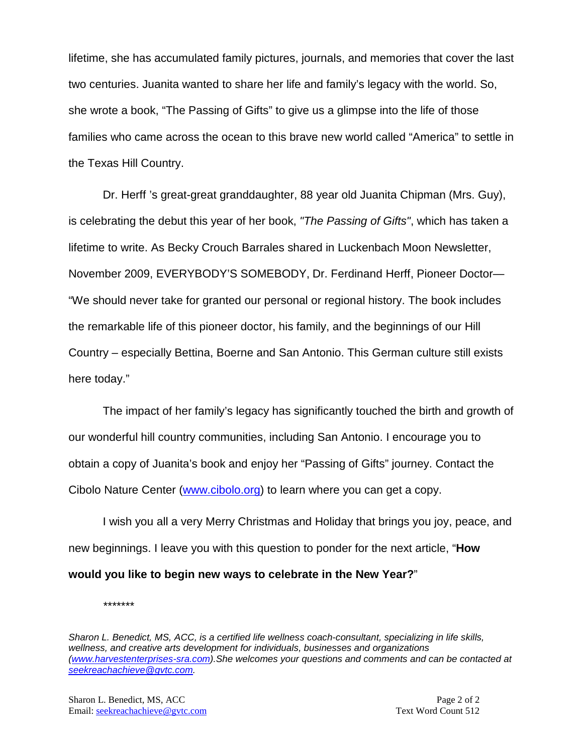lifetime, she has accumulated family pictures, journals, and memories that cover the last two centuries. Juanita wanted to share her life and family's legacy with the world. So, she wrote a book, "The Passing of Gifts" to give us a glimpse into the life of those families who came across the ocean to this brave new world called "America" to settle in the Texas Hill Country.

Dr. Herff 's great-great granddaughter, 88 year old Juanita Chipman (Mrs. Guy), is celebrating the debut this year of her book, *"The Passing of Gifts"*, which has taken a lifetime to write. As Becky Crouch Barrales shared in Luckenbach Moon Newsletter, November 2009, EVERYBODY'S SOMEBODY, Dr. Ferdinand Herff, Pioneer Doctor— "We should never take for granted our personal or regional history. The book includes the remarkable life of this pioneer doctor, his family, and the beginnings of our Hill Country – especially Bettina, Boerne and San Antonio. This German culture still exists here today."

The impact of her family's legacy has significantly touched the birth and growth of our wonderful hill country communities, including San Antonio. I encourage you to obtain a copy of Juanita's book and enjoy her "Passing of Gifts" journey. Contact the Cibolo Nature Center [\(www.cibolo.org\)](http://www.cibolo.org/) to learn where you can get a copy.

I wish you all a very Merry Christmas and Holiday that brings you joy, peace, and new beginnings. I leave you with this question to ponder for the next article, "**How would you like to begin new ways to celebrate in the New Year?**"

*\*\*\*\*\*\*\**

*Sharon L. Benedict, MS, ACC, is a certified life wellness coach-consultant, specializing in life skills, wellness, and creative arts development for individuals, businesses and organizations [\(www.harvestenterprises-sra.com\)](http://www.harvestenterprises-sra.com/).She welcomes your questions and comments and can be contacted at [seekreachachieve@gvtc.com.](mailto:seekreachachieve@gvtc.com)*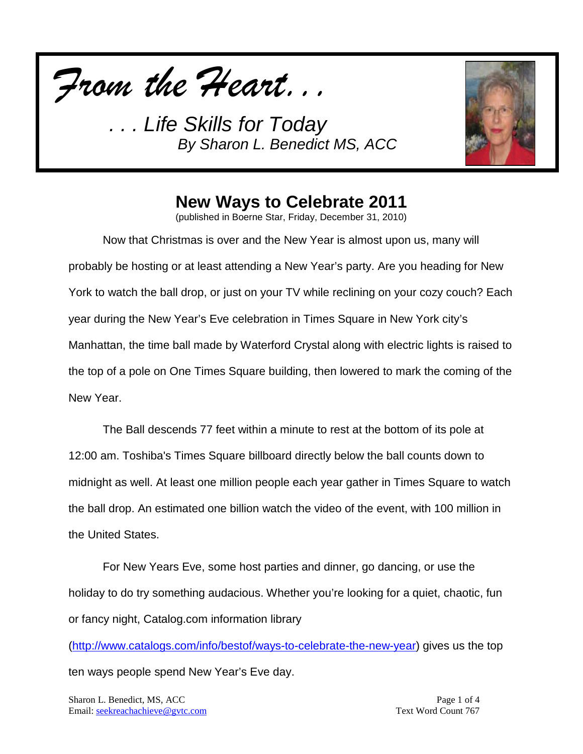



# **New Ways to Celebrate 2011**

(published in Boerne Star, Friday, December 31, 2010)

Now that Christmas is over and the New Year is almost upon us, many will probably be hosting or at least attending a New Year's party. Are you heading for New York to watch the ball drop, or just on your TV while reclining on your cozy couch? Each year during the New Year's Eve celebration in Times Square in New York city's Manhattan, the time ball made by Waterford Crystal along with electric lights is raised to the top of a pole on One Times Square building, then lowered to mark the coming of the New Year.

The Ball descends 77 feet within a minute to rest at the bottom of its pole at 12:00 am. Toshiba's Times Square billboard directly below the ball counts down to midnight as well. At least one million people each year gather in Times Square to watch the ball drop. An estimated one billion watch the video of the event, with 100 million in the United States.

For New Years Eve, some host parties and dinner, go dancing, or use the holiday to do try something audacious. Whether you're looking for a quiet, chaotic, fun or fancy night, Catalog.com information library

[\(http://www.catalogs.com/info/bestof/ways-to-celebrate-the-new-year\)](http://www.catalogs.com/info/bestof/ways-to-celebrate-the-new-year) gives us the top ten ways people spend New Year's Eve day.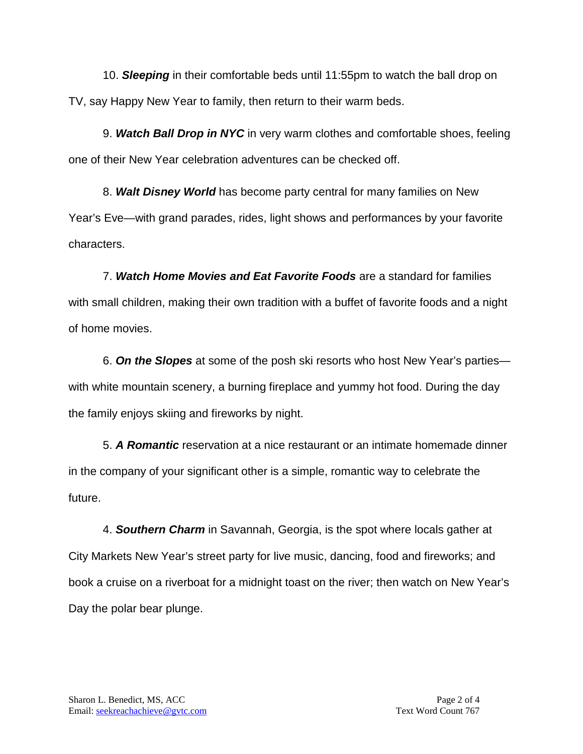10. *Sleeping* in their comfortable beds until 11:55pm to watch the ball drop on TV, say Happy New Year to family, then return to their warm beds.

9. *Watch Ball Drop in NYC* in very warm clothes and comfortable shoes, feeling one of their New Year celebration adventures can be checked off.

8. *Walt Disney World* has become party central for many families on New Year's Eve—with grand parades, rides, light shows and performances by your favorite characters.

7. *Watch Home Movies and Eat Favorite Foods* are a standard for families with small children, making their own tradition with a buffet of favorite foods and a night of home movies.

6. *On the Slopes* at some of the posh ski resorts who host New Year's parties with white mountain scenery, a burning fireplace and yummy hot food. During the day the family enjoys skiing and fireworks by night.

5. *A Romantic* reservation at a nice restaurant or an intimate homemade dinner in the company of your significant other is a simple, romantic way to celebrate the future.

4. *Southern Charm* in Savannah, Georgia, is the spot where locals gather at City Markets New Year's street party for live music, dancing, food and fireworks; and book a cruise on a riverboat for a midnight toast on the river; then watch on New Year's Day the polar bear plunge.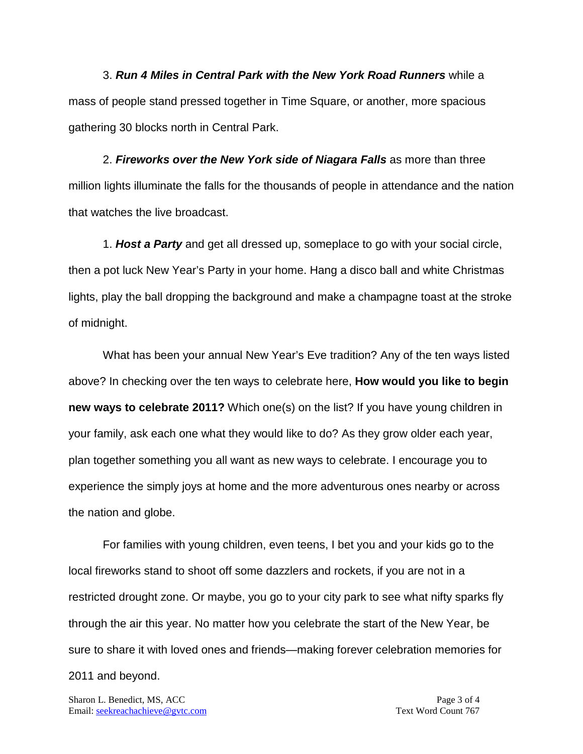3. *Run 4 Miles in Central Park with the New York Road Runners* while a mass of people stand pressed together in Time Square, or another, more spacious gathering 30 blocks north in Central Park.

2. *Fireworks over the New York side of Niagara Falls* as more than three million lights illuminate the falls for the thousands of people in attendance and the nation that watches the live broadcast.

1. *Host a Party* and get all dressed up, someplace to go with your social circle, then a pot luck New Year's Party in your home. Hang a disco ball and white Christmas lights, play the ball dropping the background and make a champagne toast at the stroke of midnight.

What has been your annual New Year's Eve tradition? Any of the ten ways listed above? In checking over the ten ways to celebrate here, **How would you like to begin new ways to celebrate 2011?** Which one(s) on the list? If you have young children in your family, ask each one what they would like to do? As they grow older each year, plan together something you all want as new ways to celebrate. I encourage you to experience the simply joys at home and the more adventurous ones nearby or across the nation and globe.

For families with young children, even teens, I bet you and your kids go to the local fireworks stand to shoot off some dazzlers and rockets, if you are not in a restricted drought zone. Or maybe, you go to your city park to see what nifty sparks fly through the air this year. No matter how you celebrate the start of the New Year, be sure to share it with loved ones and friends—making forever celebration memories for 2011 and beyond.